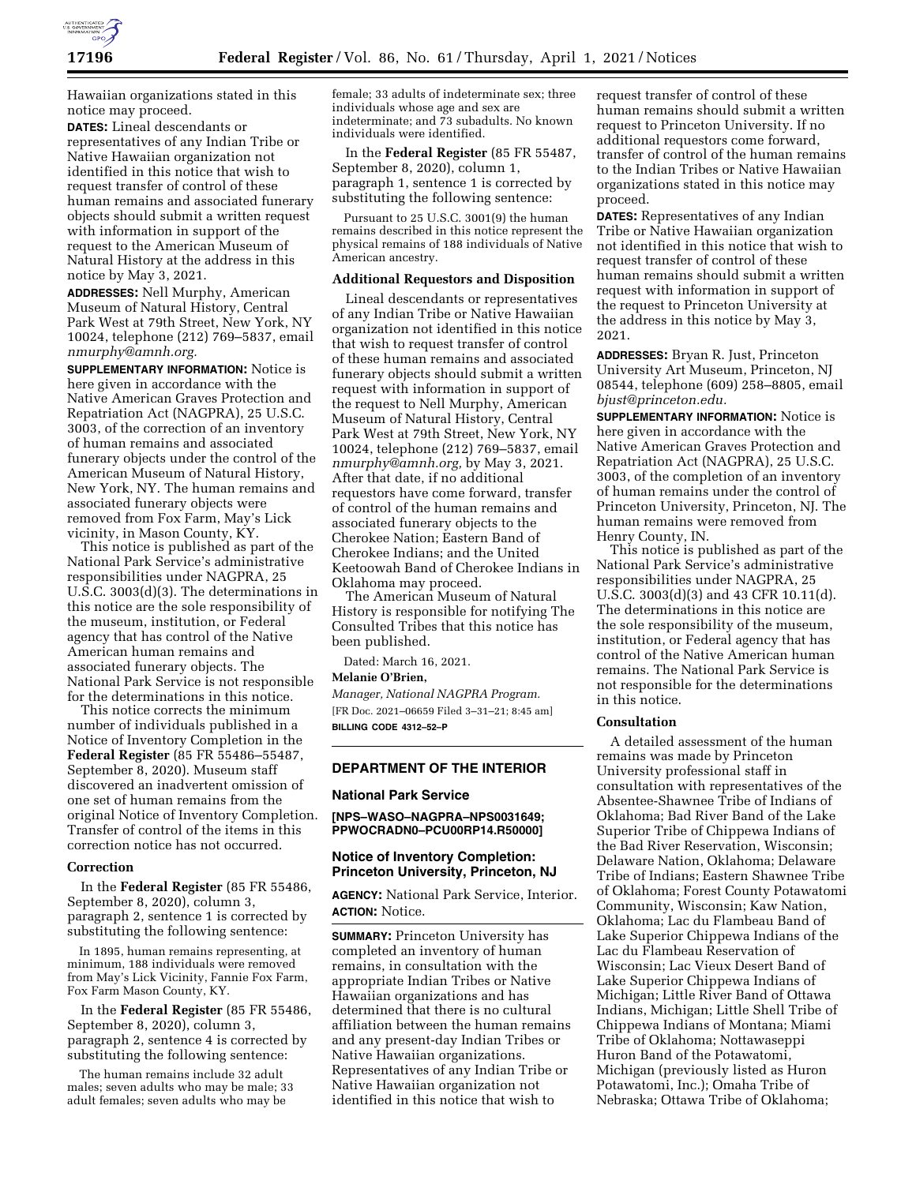

Hawaiian organizations stated in this notice may proceed.

**DATES:** Lineal descendants or representatives of any Indian Tribe or Native Hawaiian organization not identified in this notice that wish to request transfer of control of these human remains and associated funerary objects should submit a written request with information in support of the request to the American Museum of Natural History at the address in this notice by May 3, 2021.

**ADDRESSES:** Nell Murphy, American Museum of Natural History, Central Park West at 79th Street, New York, NY 10024, telephone (212) 769–5837, email *[nmurphy@amnh.org.](mailto:nmurphy@amnh.org)* 

**SUPPLEMENTARY INFORMATION:** Notice is here given in accordance with the Native American Graves Protection and Repatriation Act (NAGPRA), 25 U.S.C. 3003, of the correction of an inventory of human remains and associated funerary objects under the control of the American Museum of Natural History, New York, NY. The human remains and associated funerary objects were removed from Fox Farm, May's Lick vicinity, in Mason County, KY.

This notice is published as part of the National Park Service's administrative responsibilities under NAGPRA, 25 U.S.C. 3003(d)(3). The determinations in this notice are the sole responsibility of the museum, institution, or Federal agency that has control of the Native American human remains and associated funerary objects. The National Park Service is not responsible for the determinations in this notice.

This notice corrects the minimum number of individuals published in a Notice of Inventory Completion in the **Federal Register** (85 FR 55486–55487, September 8, 2020). Museum staff discovered an inadvertent omission of one set of human remains from the original Notice of Inventory Completion. Transfer of control of the items in this correction notice has not occurred.

#### **Correction**

In the **Federal Register** (85 FR 55486, September 8, 2020), column 3, paragraph 2, sentence 1 is corrected by substituting the following sentence:

In 1895, human remains representing, at minimum, 188 individuals were removed from May's Lick Vicinity, Fannie Fox Farm, Fox Farm Mason County, KY.

In the **Federal Register** (85 FR 55486, September 8, 2020), column 3, paragraph 2, sentence 4 is corrected by substituting the following sentence:

The human remains include 32 adult males; seven adults who may be male; 33 adult females; seven adults who may be

female; 33 adults of indeterminate sex; three individuals whose age and sex are indeterminate; and 73 subadults. No known individuals were identified.

In the **Federal Register** (85 FR 55487, September 8, 2020), column 1, paragraph 1, sentence 1 is corrected by substituting the following sentence:

Pursuant to 25 U.S.C. 3001(9) the human remains described in this notice represent the physical remains of 188 individuals of Native American ancestry.

# **Additional Requestors and Disposition**

Lineal descendants or representatives of any Indian Tribe or Native Hawaiian organization not identified in this notice that wish to request transfer of control of these human remains and associated funerary objects should submit a written request with information in support of the request to Nell Murphy, American Museum of Natural History, Central Park West at 79th Street, New York, NY 10024, telephone (212) 769–5837, email *[nmurphy@amnh.org,](mailto:nmurphy@amnh.org)* by May 3, 2021. After that date, if no additional requestors have come forward, transfer of control of the human remains and associated funerary objects to the Cherokee Nation; Eastern Band of Cherokee Indians; and the United Keetoowah Band of Cherokee Indians in Oklahoma may proceed.

The American Museum of Natural History is responsible for notifying The Consulted Tribes that this notice has been published.

Dated: March 16, 2021.

#### **Melanie O'Brien,**

*Manager, National NAGPRA Program.*  [FR Doc. 2021–06659 Filed 3–31–21; 8:45 am] **BILLING CODE 4312–52–P** 

**DEPARTMENT OF THE INTERIOR** 

# **National Park Service**

#### **[NPS–WASO–NAGPRA–NPS0031649; PPWOCRADN0–PCU00RP14.R50000]**

# **Notice of Inventory Completion: Princeton University, Princeton, NJ**

**AGENCY:** National Park Service, Interior. **ACTION:** Notice.

**SUMMARY:** Princeton University has completed an inventory of human remains, in consultation with the appropriate Indian Tribes or Native Hawaiian organizations and has determined that there is no cultural affiliation between the human remains and any present-day Indian Tribes or Native Hawaiian organizations. Representatives of any Indian Tribe or Native Hawaiian organization not identified in this notice that wish to

request transfer of control of these human remains should submit a written request to Princeton University. If no additional requestors come forward, transfer of control of the human remains to the Indian Tribes or Native Hawaiian organizations stated in this notice may proceed.

**DATES:** Representatives of any Indian Tribe or Native Hawaiian organization not identified in this notice that wish to request transfer of control of these human remains should submit a written request with information in support of the request to Princeton University at the address in this notice by May 3, 2021.

**ADDRESSES:** Bryan R. Just, Princeton University Art Museum, Princeton, NJ 08544, telephone (609) 258–8805, email *[bjust@princeton.edu.](mailto:bjust@princeton.edu)* 

**SUPPLEMENTARY INFORMATION:** Notice is here given in accordance with the Native American Graves Protection and Repatriation Act (NAGPRA), 25 U.S.C. 3003, of the completion of an inventory of human remains under the control of Princeton University, Princeton, NJ. The human remains were removed from Henry County, IN.

This notice is published as part of the National Park Service's administrative responsibilities under NAGPRA, 25 U.S.C. 3003(d)(3) and 43 CFR 10.11(d). The determinations in this notice are the sole responsibility of the museum, institution, or Federal agency that has control of the Native American human remains. The National Park Service is not responsible for the determinations in this notice.

# **Consultation**

A detailed assessment of the human remains was made by Princeton University professional staff in consultation with representatives of the Absentee-Shawnee Tribe of Indians of Oklahoma; Bad River Band of the Lake Superior Tribe of Chippewa Indians of the Bad River Reservation, Wisconsin; Delaware Nation, Oklahoma; Delaware Tribe of Indians; Eastern Shawnee Tribe of Oklahoma; Forest County Potawatomi Community, Wisconsin; Kaw Nation, Oklahoma; Lac du Flambeau Band of Lake Superior Chippewa Indians of the Lac du Flambeau Reservation of Wisconsin; Lac Vieux Desert Band of Lake Superior Chippewa Indians of Michigan; Little River Band of Ottawa Indians, Michigan; Little Shell Tribe of Chippewa Indians of Montana; Miami Tribe of Oklahoma; Nottawaseppi Huron Band of the Potawatomi, Michigan (previously listed as Huron Potawatomi, Inc.); Omaha Tribe of Nebraska; Ottawa Tribe of Oklahoma;